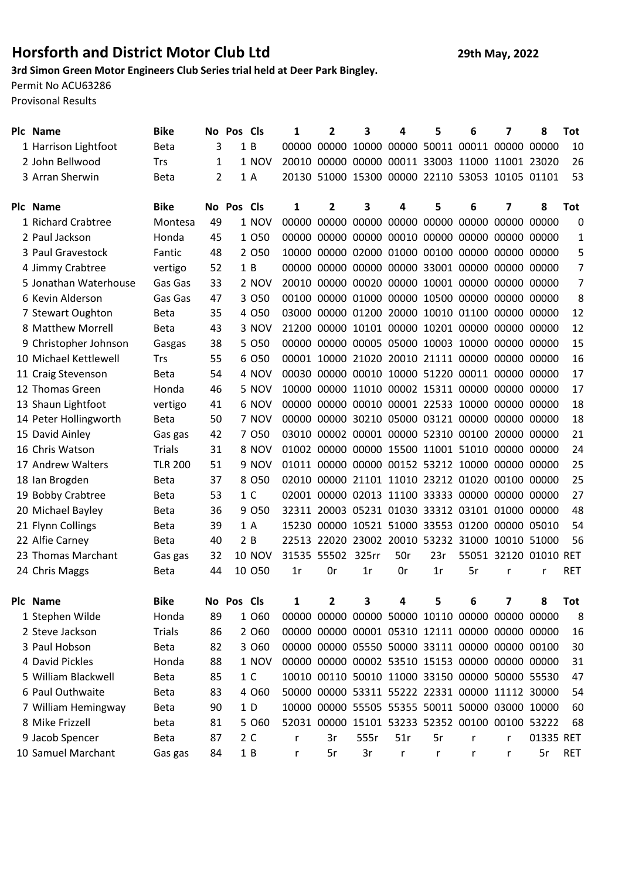## Horsforth and District Motor Club Ltd 29th May, 2022

## 3rd Simon Green Motor Engineers Club Series trial held at Deer Park Bingley.

Permit No ACU63286

Provisonal Results

| Plc | <b>Name</b>           | <b>Bike</b>    | No Pos |            | <b>Cls</b>     | 1     | $\mathbf{2}$      | 3                                               | 4                       | 5   | 6  | 7                     | 8         | Tot        |
|-----|-----------------------|----------------|--------|------------|----------------|-------|-------------------|-------------------------------------------------|-------------------------|-----|----|-----------------------|-----------|------------|
|     | 1 Harrison Lightfoot  | <b>Beta</b>    | 3      |            | 1B             | 00000 | 00000             |                                                 | 10000 00000 50011 00011 |     |    | 00000 00000           |           | 10         |
|     | 2 John Bellwood       | <b>Trs</b>     | 1      |            | 1 NOV          |       |                   | 20010 00000 00000 00011 33003 11000 11001 23020 |                         |     |    |                       |           | 26         |
|     | 3 Arran Sherwin       | <b>Beta</b>    | 2      |            | 1 A            |       |                   | 20130 51000 15300 00000 22110 53053 10105 01101 |                         |     |    |                       |           | 53         |
|     |                       |                |        |            |                |       |                   |                                                 |                         |     |    |                       |           |            |
|     | Plc Name              | <b>Bike</b>    | No Pos |            | <b>Cls</b>     | 1     | $\mathbf{2}$      | 3                                               | 4                       | 5   | 6  | 7                     | 8         | <b>Tot</b> |
|     | 1 Richard Crabtree    | Montesa        | 49     |            | 1 NOV          | 00000 | 00000             | 00000                                           | 00000 00000 00000       |     |    | 00000 00000           |           | 0          |
|     | 2 Paul Jackson        | Honda          | 45     |            | 1 0 5 0        | 00000 |                   | 00000 00000 00010 00000 00000                   |                         |     |    | 00000 00000           |           | 1          |
|     | 3 Paul Gravestock     | Fantic         | 48     |            | 2 0 5 0        | 10000 |                   | 00000 02000 01000 00100 00000 00000 00000       |                         |     |    |                       |           | 5          |
|     | 4 Jimmy Crabtree      | vertigo        | 52     |            | 1B             |       |                   | 00000 00000 00000 00000 33001 00000 00000 00000 |                         |     |    |                       |           | 7          |
|     | 5 Jonathan Waterhouse | Gas Gas        | 33     |            | 2 NOV          |       |                   | 20010 00000 00020 00000 10001 00000 00000 00000 |                         |     |    |                       |           | 7          |
|     | 6 Kevin Alderson      | Gas Gas        | 47     |            | 3 0 5 0        |       |                   | 00100 00000 01000 00000 10500 00000 00000 00000 |                         |     |    |                       |           | 8          |
|     | 7 Stewart Oughton     | <b>Beta</b>    | 35     |            | 4 0 5 0        |       |                   | 03000 00000 01200 20000 10010 01100 00000 00000 |                         |     |    |                       |           | 12         |
|     | 8 Matthew Morrell     | <b>Beta</b>    | 43     |            | 3 NOV          |       |                   | 21200 00000 10101 00000 10201 00000 00000 00000 |                         |     |    |                       |           | 12         |
|     | 9 Christopher Johnson | Gasgas         | 38     |            | 5 0 5 0        |       |                   | 00000 00000 00005 05000 10003 10000 00000 00000 |                         |     |    |                       |           | 15         |
|     | 10 Michael Kettlewell | Trs            | 55     |            | 6 0 5 0        |       |                   | 00001 10000 21020 20010 21111 00000 00000 00000 |                         |     |    |                       |           | 16         |
|     | 11 Craig Stevenson    | <b>Beta</b>    | 54     |            | 4 NOV          |       |                   | 00030 00000 00010 10000 51220 00011 00000 00000 |                         |     |    |                       |           | 17         |
|     | 12 Thomas Green       | Honda          | 46     |            | 5 NOV          |       |                   | 10000 00000 11010 00002 15311 00000 00000 00000 |                         |     |    |                       |           | 17         |
|     | 13 Shaun Lightfoot    | vertigo        | 41     |            | 6 NOV          |       |                   | 00000 00000 00010 00001 22533 10000 00000 00000 |                         |     |    |                       |           | 18         |
|     | 14 Peter Hollingworth | <b>Beta</b>    | 50     |            | 7 NOV          |       |                   | 00000 00000 30210 05000 03121 00000 00000 00000 |                         |     |    |                       |           | 18         |
|     | 15 David Ainley       | Gas gas        | 42     |            | 7 0 5 0        |       |                   | 03010 00002 00001 00000 52310 00100 20000 00000 |                         |     |    |                       |           | 21         |
|     | 16 Chris Watson       | <b>Trials</b>  | 31     |            | 8 NOV          |       |                   | 01002 00000 00000 15500 11001 51010 00000 00000 |                         |     |    |                       |           | 24         |
|     | 17 Andrew Walters     | <b>TLR 200</b> | 51     |            | 9 NOV          |       |                   | 01011 00000 00000 00152 53212 10000 00000 00000 |                         |     |    |                       |           | 25         |
|     | 18 Ian Brogden        | <b>Beta</b>    | 37     |            | 8 0 5 0        |       |                   | 02010 00000 21101 11010 23212 01020 00100 00000 |                         |     |    |                       |           | 25         |
|     | 19 Bobby Crabtree     | <b>Beta</b>    | 53     |            | 1 <sup>C</sup> |       |                   | 02001 00000 02013 11100 33333 00000 00000 00000 |                         |     |    |                       |           | 27         |
|     | 20 Michael Bayley     | <b>Beta</b>    | 36     |            | 9 0 5 0        |       |                   | 32311 20003 05231 01030 33312 03101 01000 00000 |                         |     |    |                       |           | 48         |
|     | 21 Flynn Collings     | <b>Beta</b>    | 39     |            | 1 A            | 15230 |                   | 00000 10521 51000 33553 01200 00000 05010       |                         |     |    |                       |           | 54         |
|     | 22 Alfie Carney       | <b>Beta</b>    | 40     |            | 2B             |       |                   | 22513 22020 23002 20010 53232 31000 10010 51000 |                         |     |    |                       |           | 56         |
|     | 23 Thomas Marchant    | Gas gas        | 32     |            | <b>10 NOV</b>  |       | 31535 55502 325rr |                                                 | 50r                     | 23r |    | 55051 32120 01010 RET |           |            |
|     | 24 Chris Maggs        | <b>Beta</b>    | 44     |            | 10 050         | 1r    | 0r                | 1r                                              | 0r                      | 1r  | 5r | r                     | r         | <b>RET</b> |
|     |                       |                |        |            |                |       |                   |                                                 |                         |     |    |                       |           |            |
|     | Plc Name              | <b>Bike</b>    |        | No Pos Cls |                | 1     | 2                 | 3                                               | 4                       | 5   | 6  | 7                     | 8         | <b>Tot</b> |
|     | 1 Stephen Wilde       | Honda          | 89     |            | 1 0 6 0        | 00000 |                   | 00000 00000 50000 10110 00000                   |                         |     |    | 00000 00000           |           | 8          |
|     | 2 Steve Jackson       | <b>Trials</b>  | 86     |            | 2 0 6 0        |       |                   | 00000 00000 00001 05310 12111 00000 00000 00000 |                         |     |    |                       |           | 16         |
|     | 3 Paul Hobson         | <b>Beta</b>    | 82     |            | 3 0 6 0        |       |                   | 00000 00000 05550 50000 33111 00000 00000 00100 |                         |     |    |                       |           | 30         |
|     | 4 David Pickles       | Honda          | 88     |            | 1 NOV          |       |                   | 00000 00000 00002 53510 15153 00000 00000 00000 |                         |     |    |                       |           | 31         |
|     | 5 William Blackwell   | <b>Beta</b>    | 85     |            | 1 <sup>C</sup> |       |                   | 10010 00110 50010 11000 33150 00000 50000 55530 |                         |     |    |                       |           | 47         |
|     | 6 Paul Outhwaite      | <b>Beta</b>    | 83     |            | 4 0 6 0        |       |                   | 50000 00000 53311 55222 22331 00000 11112 30000 |                         |     |    |                       |           | 54         |
|     | 7 William Hemingway   | <b>Beta</b>    | 90     |            | 1D             |       |                   | 10000 00000 55505 55355 50011 50000 03000 10000 |                         |     |    |                       |           | 60         |
|     | 8 Mike Frizzell       | beta           | 81     |            | 5 060          |       |                   | 52031 00000 15101 53233 52352 00100 00100 53222 |                         |     |    |                       |           | 68         |
|     | 9 Jacob Spencer       | <b>Beta</b>    | 87     |            | 2 C            | r     | 3r                | 555r                                            | 51r                     | 5r  | r  | r                     | 01335 RET |            |
|     | 10 Samuel Marchant    | Gas gas        | 84     |            | 1B             | r     | 5r                | 3r                                              | r                       | r   | r  | r                     | 5r        | <b>RET</b> |